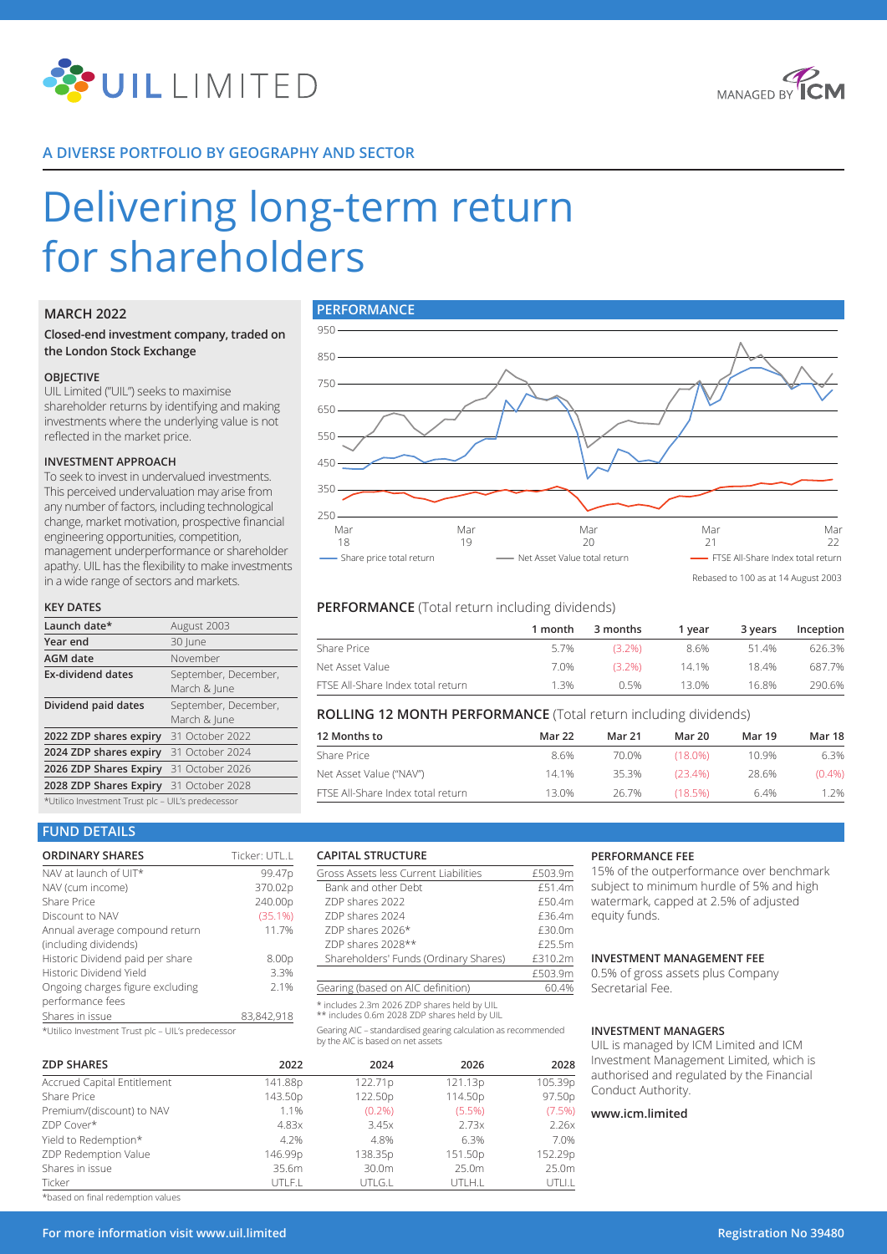



# **A DIVERSE PORTFOLIO BY GEOGRAPHY AND SECTOR**

# Delivering long-term return for shareholders

## **MARCH 2022**

## **Closed-end investment company, traded on the London Stock Exchange**

#### **OBJECTIVE**

UIL Limited ("UIL") seeks to maximise shareholder returns by identifying and making investments where the underlying value is not reflected in the market price.

#### **INVESTMENT APPROACH**

To seek to invest in undervalued investments. This perceived undervaluation may arise from any number of factors, including technological change, market motivation, prospective financial engineering opportunities, competition, management underperformance or shareholder apathy. UIL has the flexibility to make investments in a wide range of sectors and markets.

#### **KEY DATES**

| Launch date*                                      | August 2003                          |  |  |  |
|---------------------------------------------------|--------------------------------------|--|--|--|
| Year end                                          | 30 June                              |  |  |  |
| <b>AGM</b> date                                   | November                             |  |  |  |
| <b>Ex-dividend dates</b>                          | September, December,<br>March & June |  |  |  |
| Dividend paid dates                               | September, December,<br>March & lune |  |  |  |
| 2022 ZDP shares expiry 31 October 2022            |                                      |  |  |  |
| 2024 ZDP shares expiry 31 October 2024            |                                      |  |  |  |
| 2026 ZDP Shares Expiry 31 October 2026            |                                      |  |  |  |
| 2028 ZDP Shares Expiry 31 October 2028            |                                      |  |  |  |
| *Utilico Investment Trust plc - UIL's predecessor |                                      |  |  |  |



Rebased to 100 as at 14 August 2003

# **PERFORMANCE** (Total return including dividends)

Gross Assets less Current Liabilities **£503.9m** Bank and other Debt  $E$ 51.4m<br>ZDP shares 2022  $E$ 50.4m

ZDP shares 2024 **E36.4m** ZDP shares 2026\* <br> **E30.0m** ZDP shares 2028\*\* <br>Shareholders' Funds (Ordinary Shares) £310.2m

Gearing AIC – standardised gearing calculation as recommended

Shareholders' Funds (Ordinary Shares)

Gearing (based on AIC definition) \* includes 2.3m 2026 ZDP shares held by UIL \*\* includes 0.6m 2028 ZDP shares held by UIL

by the AIC is based on net assets

|                                   | 1 month | 3 months  | 1 vear | 3 vears | Inception |
|-----------------------------------|---------|-----------|--------|---------|-----------|
| Share Price                       | 5.7%    | $(3.2\%)$ | 8.6%   | 514%    | 626.3%    |
| Net Asset Value                   | 7.0%    | $(3.2\%)$ | 14 1%  | 18.4%   | 687.7%    |
| FTSE All-Share Index total return | 1.3%    | በ 5%      | 13.0%  | 16.8%   | 290.6%    |

## **ROLLING 12 MONTH PERFORMANCE** (Total return including dividends)

| 12 Months to                      | Mar 22 | Mar 21 | Mar 20      | <b>Mar 19</b> | Mar 18    |
|-----------------------------------|--------|--------|-------------|---------------|-----------|
| Share Price                       | 8.6%   | 70.0%  | $(18.0\%)$  | 10.9%         | 6.3%      |
| Net Asset Value ("NAV")           | 14.1%  | 35.3%  | $(23, 4\%)$ | 28.6%         | $(0.4\%)$ |
| FTSE All-Share Index total return | 13.0%  | 26.7%  | (18.5%)     | 6.4%          | 1.2%      |

 $rac{£503.9m}{60.4%}$ 

# **FUND DETAILS**

| <b>ORDINARY SHARES</b>                                                             | Ticker: UTL.L |
|------------------------------------------------------------------------------------|---------------|
| NAV at launch of UIT*                                                              | 99.47p        |
| NAV (cum income)                                                                   | 370.02p       |
| Share Price                                                                        | 240.00p       |
| Discount to NAV                                                                    | (35.1%)       |
| Annual average compound return                                                     | 11.7%         |
| (including dividends)                                                              |               |
| Historic Dividend paid per share                                                   | 8.00p         |
| Historic Dividend Yield                                                            | 3.3%          |
| Ongoing charges figure excluding                                                   | 2.1%          |
| performance fees                                                                   |               |
| Shares in issue                                                                    | 83,842,918    |
| del table del transmandere della Transmandella in titti della capacità della della |               |

\*Utilico Investment Trust plc – UIL's predecessor

| <b>ZDP SHARES</b>           | 2022    | 2024      | 2026      | 2028    |
|-----------------------------|---------|-----------|-----------|---------|
| Accrued Capital Entitlement | 141.88p | 122.71p   | 121.13p   | 105.39p |
| Share Price                 | 143.50p | 122.50p   | 114.50p   | 97.50p  |
| Premium/(discount) to NAV   | 1.1%    | $(0.2\%)$ | $(5.5\%)$ | (7.5%)  |
| ZDP Cover*                  | 4.83x   | 3.45x     | 2.73x     | 2.26x   |
| Yield to Redemption*        | 4.2%    | 4.8%      | 6.3%      | 7.0%    |
| ZDP Redemption Value        | 146.99p | 138.35p   | 151.50p   | 152.29p |
| Shares in issue             | 35.6m   | 30.0m     | 25.0m     | 25.0m   |
| Ticker                      | UTLF.L  | UTLG.L    | UTLH.L    | UTLI.L  |

**CAPITAL STRUCTURE**

ZDP shares 2022

#### **PERFORMANCE FEE**

15% of the outperformance over benchmark subject to minimum hurdle of 5% and high watermark, capped at 2.5% of adjusted equity funds.

## **INVESTMENT MANAGEMENT FEE**

0.5% of gross assets plus Company Secretarial Fee.

#### **INVESTMENT MANAGERS**

UIL is managed by ICM Limited and ICM Ivestment Management Limited, which is uthorised and regulated by the Financial onduct Authority.

#### **www.icm.limited**

\*based on final redemption values